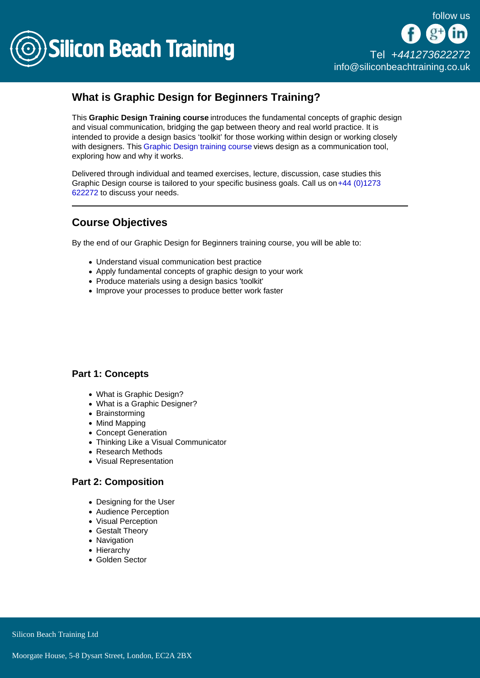

# What is Graphic Design for Beginners Training?

This Graphic Design Training course introduces the fundamental concepts of graphic design and visual communication, bridging the gap between theory and real world practice. It is intended to provide a design basics 'toolkit' for those working within design or working closely with designers. This [Graphic Design training course](/adobe-training) views design as a communication tool. exploring how and why it works.

Delivered through individual and teamed exercises, lecture, discussion, case studies this Graphic Design course is tailored to your specific business goals. Call us on  $+44$  (0)1273 [622272](tel:441273622272) to discuss your needs.

## Course Objectives

By the end of our Graphic Design for Beginners training course, you will be able to:

- Understand visual communication best practice
- Apply fundamental concepts of graphic design to your work
- Produce materials using a design basics 'toolkit'
- Improve your processes to produce better work faster

#### Part 1: Concepts

- What is Graphic Design?
- What is a Graphic Designer?
- Brainstorming
- Mind Mapping
- Concept Generation
- Thinking Like a Visual Communicator
- Research Methods
- Visual Representation

#### Part 2: Composition

- Designing for the User
- Audience Perception
- Visual Perception
- Gestalt Theory
- Navigation
- Hierarchy
- Golden Sector

Silicon Beach Training Ltd